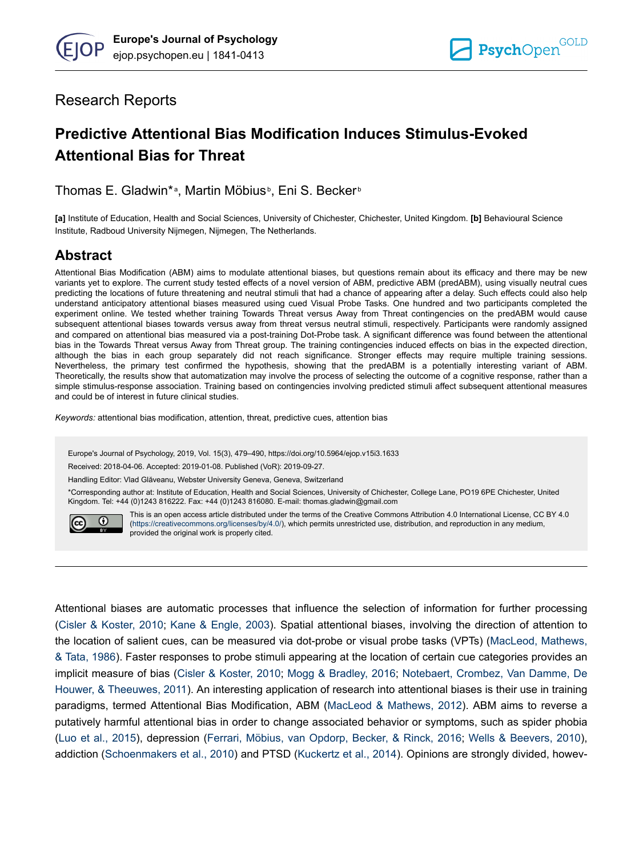# Research Reports

# **Predictive Attentional Bias Modification Induces Stimulus-Evoked Attentional Bias for Threat**

Thomas E. Gladwin\*<sup>a</sup>, Martin Möbius<sup>b</sup>, Eni S. Becker<sup>b</sup>

**[a]** Institute of Education, Health and Social Sciences, University of Chichester, Chichester, United Kingdom. **[b]** Behavioural Science Institute, Radboud University Nijmegen, Nijmegen, The Netherlands.

# **Abstract**

Attentional Bias Modification (ABM) aims to modulate attentional biases, but questions remain about its efficacy and there may be new variants yet to explore. The current study tested effects of a novel version of ABM, predictive ABM (predABM), using visually neutral cues predicting the locations of future threatening and neutral stimuli that had a chance of appearing after a delay. Such effects could also help understand anticipatory attentional biases measured using cued Visual Probe Tasks. One hundred and two participants completed the experiment online. We tested whether training Towards Threat versus Away from Threat contingencies on the predABM would cause subsequent attentional biases towards versus away from threat versus neutral stimuli, respectively. Participants were randomly assigned and compared on attentional bias measured via a post-training Dot-Probe task. A significant difference was found between the attentional bias in the Towards Threat versus Away from Threat group. The training contingencies induced effects on bias in the expected direction, although the bias in each group separately did not reach significance. Stronger effects may require multiple training sessions. Nevertheless, the primary test confirmed the hypothesis, showing that the predABM is a potentially interesting variant of ABM. Theoretically, the results show that automatization may involve the process of selecting the outcome of a cognitive response, rather than a simple stimulus-response association. Training based on contingencies involving predicted stimuli affect subsequent attentional measures and could be of interest in future clinical studies.

*Keywords:* attentional bias modification, attention, threat, predictive cues, attention bias

Europe's Journal of Psychology, 2019, Vol. 15(3), 479–490, https://doi.org/10.5964/ejop.v15i3.1633

Received: 2018-04-06. Accepted: 2019-01-08. Published (VoR): 2019-09-27.

Handling Editor: Vlad Glăveanu, Webster University Geneva, Geneva, Switzerland

\*Corresponding author at: Institute of Education, Health and Social Sciences, University of Chichester, College Lane, PO19 6PE Chichester, United Kingdom. Tel: +44 (0)1243 816222. Fax: +44 (0)1243 816080. E-mail: thomas.gladwin@gmail.com



This is an open access article distributed under the terms of the Creative Commons Attribution 4.0 International License, CC BY 4.0 ([https://creativecommons.org/licenses/by/4.0/\)](https://creativecommons.org/licenses/by/4.0/), which permits unrestricted use, distribution, and reproduction in any medium, provided the original work is properly cited.

Attentional biases are automatic processes that influence the selection of information for further processing [\(Cisler & Koster, 2010](#page-8-0); [Kane & Engle, 2003\)](#page-9-0). Spatial attentional biases, involving the direction of attention to the location of salient cues, can be measured via dot-probe or visual probe tasks (VPTs) [\(MacLeod, Mathews,](#page-9-0) [& Tata, 1986](#page-9-0)). Faster responses to probe stimuli appearing at the location of certain cue categories provides an implicit measure of bias [\(Cisler & Koster, 2010](#page-8-0); [Mogg & Bradley, 2016;](#page-10-0) [Notebaert, Crombez, Van Damme, De](#page-10-0) [Houwer, & Theeuwes, 2011](#page-10-0)). An interesting application of research into attentional biases is their use in training paradigms, termed Attentional Bias Modification, ABM [\(MacLeod & Mathews, 2012](#page-9-0)). ABM aims to reverse a putatively harmful attentional bias in order to change associated behavior or symptoms, such as spider phobia [\(Luo et al., 2015](#page-9-0)), depression [\(Ferrari, Möbius, van Opdorp, Becker, & Rinck, 2016;](#page-8-0) [Wells & Beevers, 2010](#page-10-0)), addiction [\(Schoenmakers et al., 2010\)](#page-10-0) and PTSD ([Kuckertz et al., 2014\)](#page-9-0). Opinions are strongly divided, howev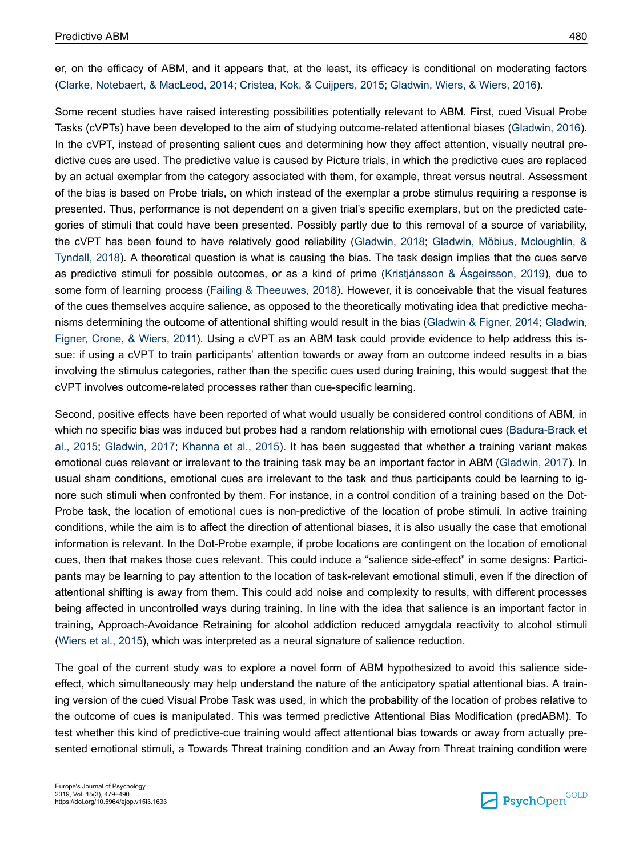er, on the efficacy of ABM, and it appears that, at the least, its efficacy is conditional on moderating factors [\(Clarke, Notebaert, & MacLeod, 2014; Cristea, Kok, & Cuijpers, 2015](#page-8-0); [Gladwin, Wiers, & Wiers, 2016](#page-9-0)).

Some recent studies have raised interesting possibilities potentially relevant to ABM. First, cued Visual Probe Tasks (cVPTs) have been developed to the aim of studying outcome-related attentional biases [\(Gladwin, 2016](#page-8-0)). In the cVPT, instead of presenting salient cues and determining how they affect attention, visually neutral predictive cues are used. The predictive value is caused by Picture trials, in which the predictive cues are replaced by an actual exemplar from the category associated with them, for example, threat versus neutral. Assessment of the bias is based on Probe trials, on which instead of the exemplar a probe stimulus requiring a response is presented. Thus, performance is not dependent on a given trial's specific exemplars, but on the predicted categories of stimuli that could have been presented. Possibly partly due to this removal of a source of variability, the cVPT has been found to have relatively good reliability [\(Gladwin, 2018;](#page-9-0) [Gladwin, Möbius, Mcloughlin, &](#page-9-0) [Tyndall, 2018](#page-9-0)). A theoretical question is what is causing the bias. The task design implies that the cues serve as predictive stimuli for possible outcomes, or as a kind of prime ([Kristjánsson & Ásgeirsson, 2019\)](#page-9-0), due to some form of learning process ([Failing & Theeuwes, 2018](#page-8-0)). However, it is conceivable that the visual features of the cues themselves acquire salience, as opposed to the theoretically motivating idea that predictive mechanisms determining the outcome of attentional shifting would result in the bias ([Gladwin & Figner, 2014; Gladwin,](#page-9-0) [Figner, Crone, & Wiers, 2011](#page-9-0)). Using a cVPT as an ABM task could provide evidence to help address this issue: if using a cVPT to train participants' attention towards or away from an outcome indeed results in a bias involving the stimulus categories, rather than the specific cues used during training, this would suggest that the cVPT involves outcome-related processes rather than cue-specific learning.

Second, positive effects have been reported of what would usually be considered control conditions of ABM, in which no specific bias was induced but probes had a random relationship with emotional cues ([Badura-Brack et](#page-8-0) [al., 2015;](#page-8-0) [Gladwin, 2017](#page-8-0); [Khanna et al., 2015](#page-9-0)). It has been suggested that whether a training variant makes emotional cues relevant or irrelevant to the training task may be an important factor in ABM ([Gladwin, 2017\)](#page-8-0). In usual sham conditions, emotional cues are irrelevant to the task and thus participants could be learning to ignore such stimuli when confronted by them. For instance, in a control condition of a training based on the Dot-Probe task, the location of emotional cues is non-predictive of the location of probe stimuli. In active training conditions, while the aim is to affect the direction of attentional biases, it is also usually the case that emotional information is relevant. In the Dot-Probe example, if probe locations are contingent on the location of emotional cues, then that makes those cues relevant. This could induce a "salience side-effect" in some designs: Participants may be learning to pay attention to the location of task-relevant emotional stimuli, even if the direction of attentional shifting is away from them. This could add noise and complexity to results, with different processes being affected in uncontrolled ways during training. In line with the idea that salience is an important factor in training, Approach-Avoidance Retraining for alcohol addiction reduced amygdala reactivity to alcohol stimuli [\(Wiers et al., 2015](#page-10-0)), which was interpreted as a neural signature of salience reduction.

The goal of the current study was to explore a novel form of ABM hypothesized to avoid this salience sideeffect, which simultaneously may help understand the nature of the anticipatory spatial attentional bias. A training version of the cued Visual Probe Task was used, in which the probability of the location of probes relative to the outcome of cues is manipulated. This was termed predictive Attentional Bias Modification (predABM). To test whether this kind of predictive-cue training would affect attentional bias towards or away from actually presented emotional stimuli, a Towards Threat training condition and an Away from Threat training condition were

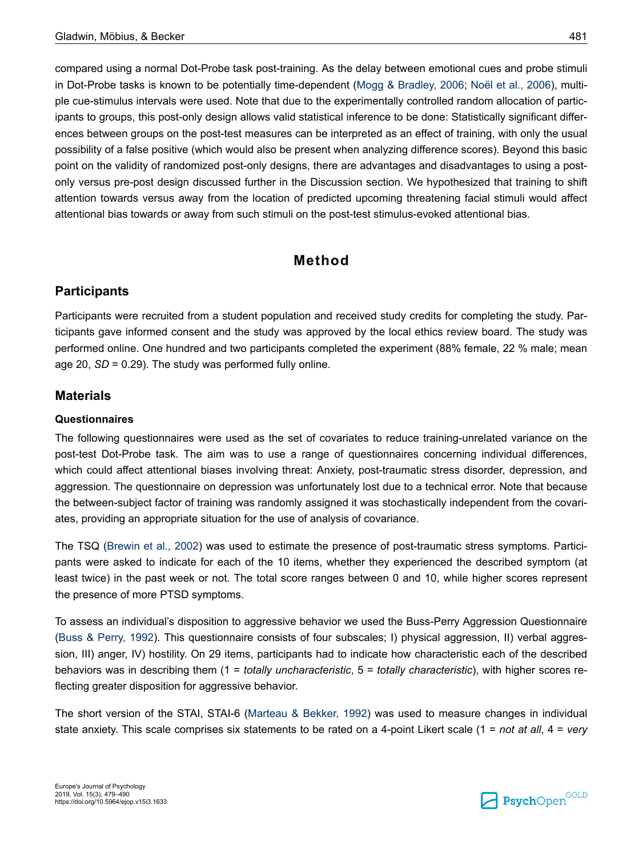compared using a normal Dot-Probe task post-training. As the delay between emotional cues and probe stimuli in Dot-Probe tasks is known to be potentially time-dependent [\(Mogg & Bradley, 2006](#page-10-0); [Noël et al., 2006](#page-10-0)), multiple cue-stimulus intervals were used. Note that due to the experimentally controlled random allocation of participants to groups, this post-only design allows valid statistical inference to be done: Statistically significant differences between groups on the post-test measures can be interpreted as an effect of training, with only the usual possibility of a false positive (which would also be present when analyzing difference scores). Beyond this basic point on the validity of randomized post-only designs, there are advantages and disadvantages to using a postonly versus pre-post design discussed further in the Discussion section. We hypothesized that training to shift attention towards versus away from the location of predicted upcoming threatening facial stimuli would affect attentional bias towards or away from such stimuli on the post-test stimulus-evoked attentional bias.

# **Method**

### **Participants**

Participants were recruited from a student population and received study credits for completing the study. Participants gave informed consent and the study was approved by the local ethics review board. The study was performed online. One hundred and two participants completed the experiment (88% female, 22 % male; mean age 20, *SD* = 0.29). The study was performed fully online.

#### **Materials**

#### **Questionnaires**

The following questionnaires were used as the set of covariates to reduce training-unrelated variance on the post-test Dot-Probe task. The aim was to use a range of questionnaires concerning individual differences, which could affect attentional biases involving threat: Anxiety, post-traumatic stress disorder, depression, and aggression. The questionnaire on depression was unfortunately lost due to a technical error. Note that because the between-subject factor of training was randomly assigned it was stochastically independent from the covariates, providing an appropriate situation for the use of analysis of covariance.

The TSQ [\(Brewin et al., 2002](#page-8-0)) was used to estimate the presence of post-traumatic stress symptoms. Participants were asked to indicate for each of the 10 items, whether they experienced the described symptom (at least twice) in the past week or not. The total score ranges between 0 and 10, while higher scores represent the presence of more PTSD symptoms.

To assess an individual's disposition to aggressive behavior we used the Buss-Perry Aggression Questionnaire [\(Buss & Perry, 1992](#page-8-0)). This questionnaire consists of four subscales; I) physical aggression, II) verbal aggression, III) anger, IV) hostility. On 29 items, participants had to indicate how characteristic each of the described behaviors was in describing them (1 = *totally uncharacteristic*, 5 = *totally characteristic*), with higher scores reflecting greater disposition for aggressive behavior.

The short version of the STAI, STAI-6 ([Marteau & Bekker, 1992](#page-10-0)) was used to measure changes in individual state anxiety. This scale comprises six statements to be rated on a 4-point Likert scale (1 = *not at all*, 4 = *very*

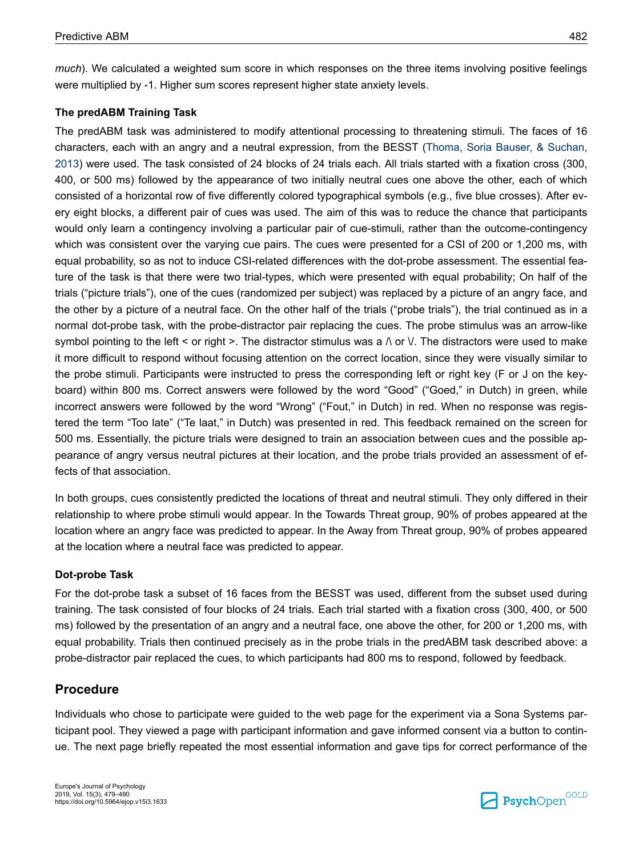*much*). We calculated a weighted sum score in which responses on the three items involving positive feelings were multiplied by -1. Higher sum scores represent higher state anxiety levels.

#### **The predABM Training Task**

The predABM task was administered to modify attentional processing to threatening stimuli. The faces of 16 characters, each with an angry and a neutral expression, from the BESST ([Thoma, Soria Bauser, & Suchan,](#page-10-0) [2013](#page-10-0)) were used. The task consisted of 24 blocks of 24 trials each. All trials started with a fixation cross (300, 400, or 500 ms) followed by the appearance of two initially neutral cues one above the other, each of which consisted of a horizontal row of five differently colored typographical symbols (e.g., five blue crosses). After every eight blocks, a different pair of cues was used. The aim of this was to reduce the chance that participants would only learn a contingency involving a particular pair of cue-stimuli, rather than the outcome-contingency which was consistent over the varying cue pairs. The cues were presented for a CSI of 200 or 1,200 ms, with equal probability, so as not to induce CSI-related differences with the dot-probe assessment. The essential feature of the task is that there were two trial-types, which were presented with equal probability; On half of the trials ("picture trials"), one of the cues (randomized per subject) was replaced by a picture of an angry face, and the other by a picture of a neutral face. On the other half of the trials ("probe trials"), the trial continued as in a normal dot-probe task, with the probe-distractor pair replacing the cues. The probe stimulus was an arrow-like symbol pointing to the left < or right >. The distractor stimulus was a  $\wedge$  or  $\vee$ . The distractors were used to make it more difficult to respond without focusing attention on the correct location, since they were visually similar to the probe stimuli. Participants were instructed to press the corresponding left or right key (F or J on the keyboard) within 800 ms. Correct answers were followed by the word "Good" ("Goed," in Dutch) in green, while incorrect answers were followed by the word "Wrong" ("Fout," in Dutch) in red. When no response was registered the term "Too late" ("Te laat," in Dutch) was presented in red. This feedback remained on the screen for 500 ms. Essentially, the picture trials were designed to train an association between cues and the possible appearance of angry versus neutral pictures at their location, and the probe trials provided an assessment of effects of that association.

In both groups, cues consistently predicted the locations of threat and neutral stimuli. They only differed in their relationship to where probe stimuli would appear. In the Towards Threat group, 90% of probes appeared at the location where an angry face was predicted to appear. In the Away from Threat group, 90% of probes appeared at the location where a neutral face was predicted to appear.

#### **Dot-probe Task**

For the dot-probe task a subset of 16 faces from the BESST was used, different from the subset used during training. The task consisted of four blocks of 24 trials. Each trial started with a fixation cross (300, 400, or 500 ms) followed by the presentation of an angry and a neutral face, one above the other, for 200 or 1,200 ms, with equal probability. Trials then continued precisely as in the probe trials in the predABM task described above: a probe-distractor pair replaced the cues, to which participants had 800 ms to respond, followed by feedback.

#### **Procedure**

Individuals who chose to participate were guided to the web page for the experiment via a Sona Systems participant pool. They viewed a page with participant information and gave informed consent via a button to continue. The next page briefly repeated the most essential information and gave tips for correct performance of the

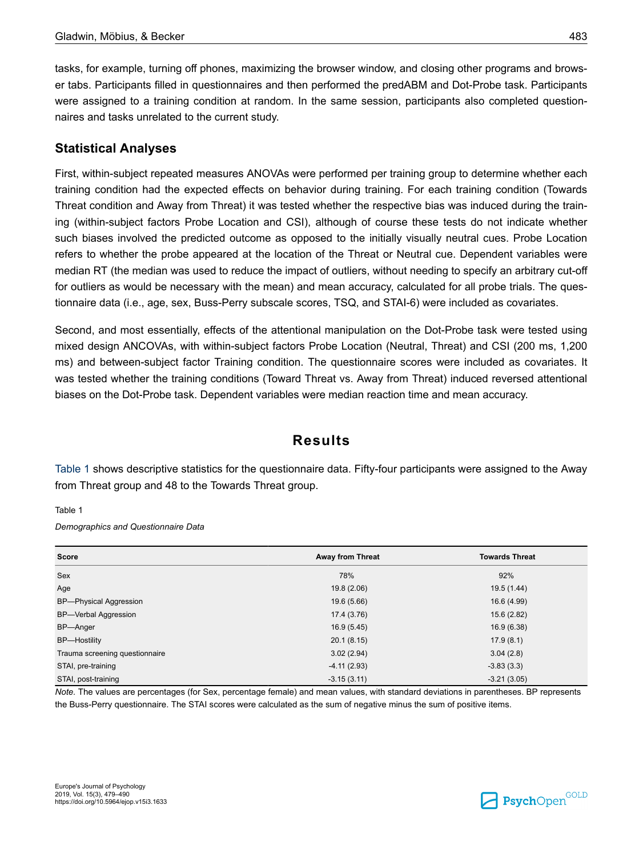tasks, for example, turning off phones, maximizing the browser window, and closing other programs and browser tabs. Participants filled in questionnaires and then performed the predABM and Dot-Probe task. Participants were assigned to a training condition at random. In the same session, participants also completed questionnaires and tasks unrelated to the current study.

### **Statistical Analyses**

First, within-subject repeated measures ANOVAs were performed per training group to determine whether each training condition had the expected effects on behavior during training. For each training condition (Towards Threat condition and Away from Threat) it was tested whether the respective bias was induced during the training (within-subject factors Probe Location and CSI), although of course these tests do not indicate whether such biases involved the predicted outcome as opposed to the initially visually neutral cues. Probe Location refers to whether the probe appeared at the location of the Threat or Neutral cue. Dependent variables were median RT (the median was used to reduce the impact of outliers, without needing to specify an arbitrary cut-off for outliers as would be necessary with the mean) and mean accuracy, calculated for all probe trials. The questionnaire data (i.e., age, sex, Buss-Perry subscale scores, TSQ, and STAI-6) were included as covariates.

Second, and most essentially, effects of the attentional manipulation on the Dot-Probe task were tested using mixed design ANCOVAs, with within-subject factors Probe Location (Neutral, Threat) and CSI (200 ms, 1,200 ms) and between-subject factor Training condition. The questionnaire scores were included as covariates. It was tested whether the training conditions (Toward Threat vs. Away from Threat) induced reversed attentional biases on the Dot-Probe task. Dependent variables were median reaction time and mean accuracy.

# **Results**

Table 1 shows descriptive statistics for the questionnaire data. Fifty-four participants were assigned to the Away from Threat group and 48 to the Towards Threat group.

Table 1

*Demographics and Questionnaire Data*

| <b>Score</b>                   | Away from Threat | <b>Towards Threat</b> |
|--------------------------------|------------------|-----------------------|
| Sex                            | 78%              | 92%                   |
| Age                            | 19.8 (2.06)      | 19.5 (1.44)           |
| <b>BP-Physical Aggression</b>  | 19.6 (5.66)      | 16.6 (4.99)           |
| <b>BP-Verbal Aggression</b>    | 17.4 (3.76)      | 15.6 (2.82)           |
| BP-Anger                       | 16.9(5.45)       | 16.9 (6.38)           |
| <b>BP-Hostility</b>            | 20.1(8.15)       | 17.9(8.1)             |
| Trauma screening questionnaire | 3.02(2.94)       | 3.04(2.8)             |
| STAI, pre-training             | $-4.11(2.93)$    | $-3.83(3.3)$          |
| STAI, post-training            | $-3.15(3.11)$    | $-3.21(3.05)$         |

*Note.* The values are percentages (for Sex, percentage female) and mean values, with standard deviations in parentheses. BP represents the Buss-Perry questionnaire. The STAI scores were calculated as the sum of negative minus the sum of positive items.



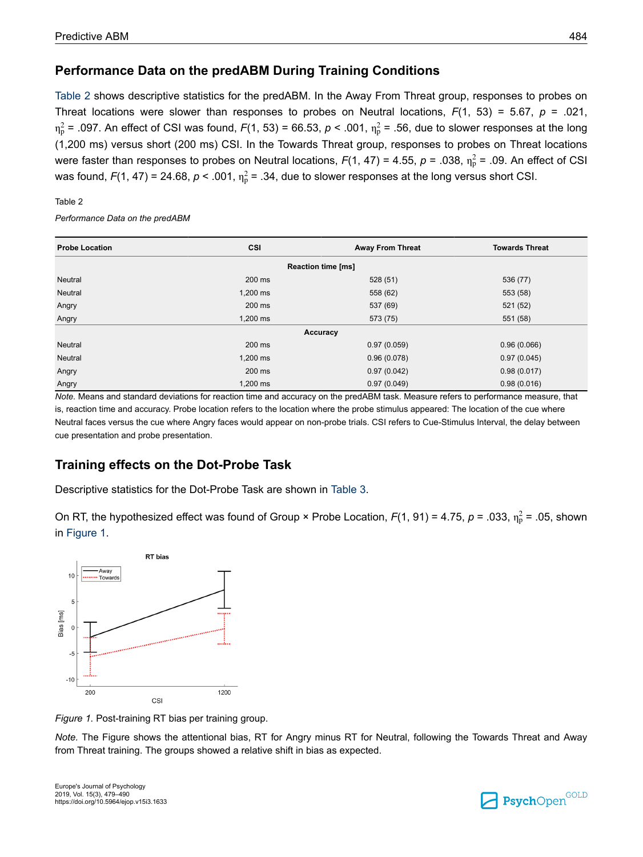### **Performance Data on the predABM During Training Conditions**

Table 2 shows descriptive statistics for the predABM. In the Away From Threat group, responses to probes on Threat locations were slower than responses to probes on Neutral locations,  $F(1, 53) = 5.67$ ,  $p = .021$ ,  $η<sub>P</sub><sup>2</sup> = .097$ . An effect of CSI was found,  $F(1, 53) = 66.53$ ,  $p < .001$ ,  $η<sub>P</sub><sup>2</sup> = .56$ , due to slower responses at the long (1,200 ms) versus short (200 ms) CSI. In the Towards Threat group, responses to probes on Threat locations were faster than responses to probes on Neutral locations,  $F(1, 47)$  = 4.55,  $p$  = .038,  $\eta_p^2$  = .09. An effect of CSI was found,  $F(1, 47)$  = 24.68,  $p < .001$ ,  $\eta_p^2$  = .34, due to slower responses at the long versus short CSI.

#### Table 2

*Performance Data on the predABM*

| <b>Probe Location</b>     | CSI      | <b>Away From Threat</b> | <b>Towards Threat</b> |  |  |  |
|---------------------------|----------|-------------------------|-----------------------|--|--|--|
| <b>Reaction time [ms]</b> |          |                         |                       |  |  |  |
| Neutral                   | 200 ms   | 528 (51)                | 536 (77)              |  |  |  |
| Neutral                   | 1,200 ms | 558 (62)                | 553 (58)              |  |  |  |
| Angry                     | 200 ms   | 537 (69)                | 521 (52)              |  |  |  |
| Angry                     | 1,200 ms | 573 (75)                | 551 (58)              |  |  |  |
| Accuracy                  |          |                         |                       |  |  |  |
| Neutral                   | 200 ms   | 0.97(0.059)             | 0.96(0.066)           |  |  |  |
| Neutral                   | 1,200 ms | 0.96(0.078)             | 0.97(0.045)           |  |  |  |
| Angry                     | 200 ms   | 0.97(0.042)             | 0.98(0.017)           |  |  |  |
| Angry                     | 1,200 ms | 0.97(0.049)             | 0.98(0.016)           |  |  |  |

*Note.* Means and standard deviations for reaction time and accuracy on the predABM task. Measure refers to performance measure, that is, reaction time and accuracy. Probe location refers to the location where the probe stimulus appeared: The location of the cue where Neutral faces versus the cue where Angry faces would appear on non-probe trials. CSI refers to Cue-Stimulus Interval, the delay between cue presentation and probe presentation.

# **Training effects on the Dot-Probe Task**

Descriptive statistics for the Dot-Probe Task are shown in [Table 3.](#page-6-0)

On RT, the hypothesized effect was found of Group × Probe Location,  $F(1, 91)$  = 4.75,  $p$  = .033,  $\eta_p^2$  = .05, shown in Figure 1.



*Figure 1.* Post-training RT bias per training group.

*Note.* The Figure shows the attentional bias, RT for Angry minus RT for Neutral, following the Towards Threat and Away from Threat training. The groups showed a relative shift in bias as expected.

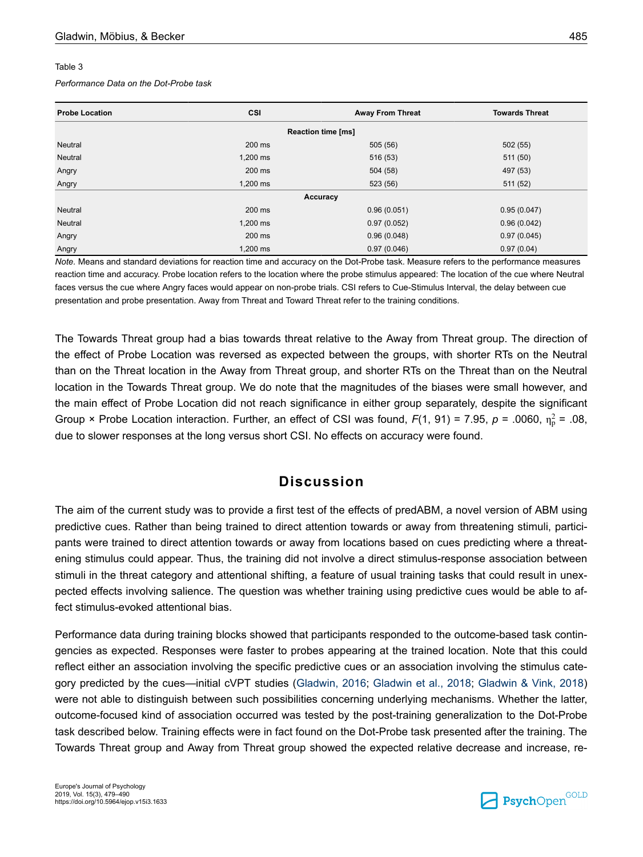#### <span id="page-6-0"></span>Table 3

#### *Performance Data on the Dot-Probe task*

| <b>Probe Location</b>     | CSI        | <b>Away From Threat</b> | <b>Towards Threat</b> |  |  |
|---------------------------|------------|-------------------------|-----------------------|--|--|
| <b>Reaction time [ms]</b> |            |                         |                       |  |  |
| Neutral                   | 200 ms     | 505 (56)                | 502(55)               |  |  |
| Neutral                   | $1,200$ ms | 516 (53)                | 511 (50)              |  |  |
| Angry                     | 200 ms     | 504 (58)                | 497 (53)              |  |  |
| Angry                     | $1,200$ ms | 523 (56)                | 511 (52)              |  |  |
| Accuracy                  |            |                         |                       |  |  |
| Neutral                   | 200 ms     | 0.96(0.051)             | 0.95(0.047)           |  |  |
| Neutral                   | $1,200$ ms | 0.97(0.052)             | 0.96(0.042)           |  |  |
| Angry                     | 200 ms     | 0.96(0.048)             | 0.97(0.045)           |  |  |
| Angry                     | $1,200$ ms | 0.97(0.046)             | 0.97(0.04)            |  |  |

*Note.* Means and standard deviations for reaction time and accuracy on the Dot-Probe task. Measure refers to the performance measures reaction time and accuracy. Probe location refers to the location where the probe stimulus appeared: The location of the cue where Neutral faces versus the cue where Angry faces would appear on non-probe trials. CSI refers to Cue-Stimulus Interval, the delay between cue presentation and probe presentation. Away from Threat and Toward Threat refer to the training conditions.

The Towards Threat group had a bias towards threat relative to the Away from Threat group. The direction of the effect of Probe Location was reversed as expected between the groups, with shorter RTs on the Neutral than on the Threat location in the Away from Threat group, and shorter RTs on the Threat than on the Neutral location in the Towards Threat group. We do note that the magnitudes of the biases were small however, and the main effect of Probe Location did not reach significance in either group separately, despite the significant Group  $\times$  Probe Location interaction. Further, an effect of CSI was found,  $F(1, 91) = 7.95$ ,  $p = .0060$ ,  $\eta_p^2 = .08$ , due to slower responses at the long versus short CSI. No effects on accuracy were found.

# **Discussion**

The aim of the current study was to provide a first test of the effects of predABM, a novel version of ABM using predictive cues. Rather than being trained to direct attention towards or away from threatening stimuli, participants were trained to direct attention towards or away from locations based on cues predicting where a threatening stimulus could appear. Thus, the training did not involve a direct stimulus-response association between stimuli in the threat category and attentional shifting, a feature of usual training tasks that could result in unexpected effects involving salience. The question was whether training using predictive cues would be able to affect stimulus-evoked attentional bias.

Performance data during training blocks showed that participants responded to the outcome-based task contingencies as expected. Responses were faster to probes appearing at the trained location. Note that this could reflect either an association involving the specific predictive cues or an association involving the stimulus category predicted by the cues—initial cVPT studies ([Gladwin, 2016](#page-8-0); [Gladwin et al., 2018;](#page-9-0) [Gladwin & Vink, 2018\)](#page-9-0) were not able to distinguish between such possibilities concerning underlying mechanisms. Whether the latter, outcome-focused kind of association occurred was tested by the post-training generalization to the Dot-Probe task described below. Training effects were in fact found on the Dot-Probe task presented after the training. The Towards Threat group and Away from Threat group showed the expected relative decrease and increase, re-

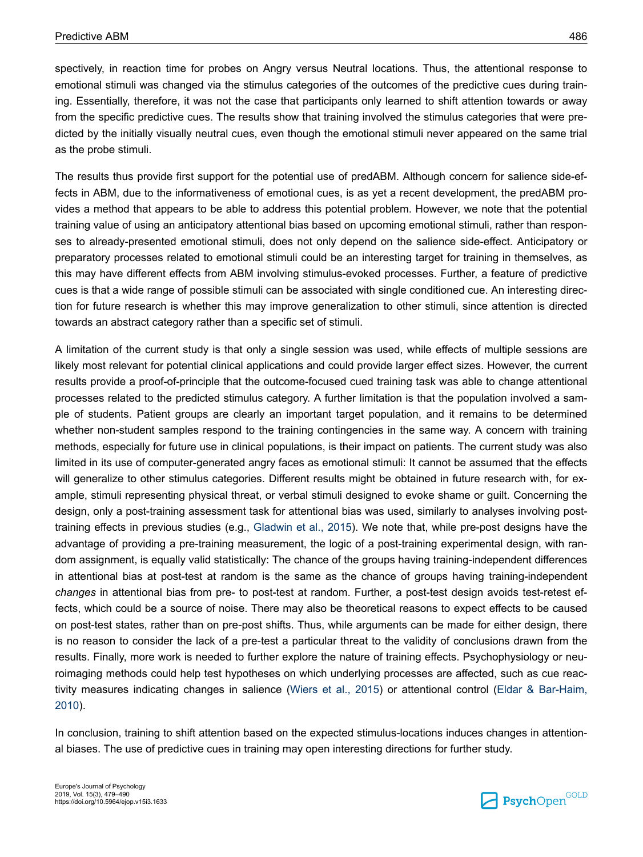spectively, in reaction time for probes on Angry versus Neutral locations. Thus, the attentional response to emotional stimuli was changed via the stimulus categories of the outcomes of the predictive cues during training. Essentially, therefore, it was not the case that participants only learned to shift attention towards or away from the specific predictive cues. The results show that training involved the stimulus categories that were predicted by the initially visually neutral cues, even though the emotional stimuli never appeared on the same trial as the probe stimuli.

The results thus provide first support for the potential use of predABM. Although concern for salience side-effects in ABM, due to the informativeness of emotional cues, is as yet a recent development, the predABM provides a method that appears to be able to address this potential problem. However, we note that the potential training value of using an anticipatory attentional bias based on upcoming emotional stimuli, rather than responses to already-presented emotional stimuli, does not only depend on the salience side-effect. Anticipatory or preparatory processes related to emotional stimuli could be an interesting target for training in themselves, as this may have different effects from ABM involving stimulus-evoked processes. Further, a feature of predictive cues is that a wide range of possible stimuli can be associated with single conditioned cue. An interesting direction for future research is whether this may improve generalization to other stimuli, since attention is directed towards an abstract category rather than a specific set of stimuli.

A limitation of the current study is that only a single session was used, while effects of multiple sessions are likely most relevant for potential clinical applications and could provide larger effect sizes. However, the current results provide a proof-of-principle that the outcome-focused cued training task was able to change attentional processes related to the predicted stimulus category. A further limitation is that the population involved a sample of students. Patient groups are clearly an important target population, and it remains to be determined whether non-student samples respond to the training contingencies in the same way. A concern with training methods, especially for future use in clinical populations, is their impact on patients. The current study was also limited in its use of computer-generated angry faces as emotional stimuli: It cannot be assumed that the effects will generalize to other stimulus categories. Different results might be obtained in future research with, for example, stimuli representing physical threat, or verbal stimuli designed to evoke shame or guilt. Concerning the design, only a post-training assessment task for attentional bias was used, similarly to analyses involving posttraining effects in previous studies (e.g., [Gladwin et al., 2015\)](#page-9-0). We note that, while pre-post designs have the advantage of providing a pre-training measurement, the logic of a post-training experimental design, with random assignment, is equally valid statistically: The chance of the groups having training-independent differences in attentional bias at post-test at random is the same as the chance of groups having training-independent *changes* in attentional bias from pre- to post-test at random. Further, a post-test design avoids test-retest effects, which could be a source of noise. There may also be theoretical reasons to expect effects to be caused on post-test states, rather than on pre-post shifts. Thus, while arguments can be made for either design, there is no reason to consider the lack of a pre-test a particular threat to the validity of conclusions drawn from the results. Finally, more work is needed to further explore the nature of training effects. Psychophysiology or neuroimaging methods could help test hypotheses on which underlying processes are affected, such as cue reactivity measures indicating changes in salience ([Wiers et al., 2015](#page-10-0)) or attentional control ([Eldar & Bar-Haim,](#page-8-0) [2010](#page-8-0)).

In conclusion, training to shift attention based on the expected stimulus-locations induces changes in attentional biases. The use of predictive cues in training may open interesting directions for further study.

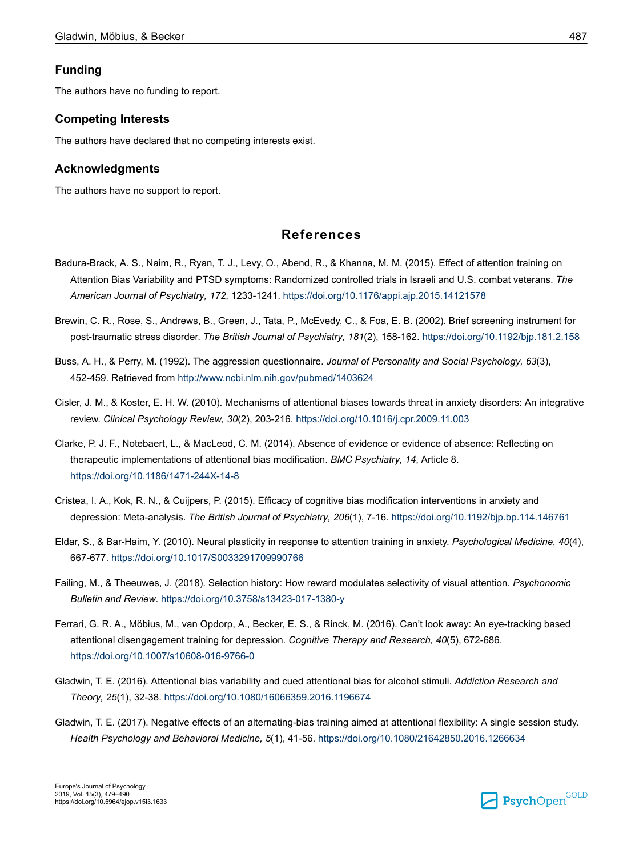#### <span id="page-8-0"></span>**Funding**

The authors have no funding to report.

#### **Competing Interests**

The authors have declared that no competing interests exist.

#### **Acknowledgments**

The authors have no support to report.

## **References**

- Badura-Brack, A. S., Naim, R., Ryan, T. J., Levy, O., Abend, R., & Khanna, M. M. (2015). Effect of attention training on Attention Bias Variability and PTSD symptoms: Randomized controlled trials in Israeli and U.S. combat veterans. *The American Journal of Psychiatry, 172*, 1233-1241. [https://doi.org/10.1176/appi.ajp.2015.14121578](https://doi.org/10.1176%2Fappi.ajp.2015.14121578)
- Brewin, C. R., Rose, S., Andrews, B., Green, J., Tata, P., McEvedy, C., & Foa, E. B. (2002). Brief screening instrument for post-traumatic stress disorder. *The British Journal of Psychiatry, 181*(2), 158-162. [https://doi.org/10.1192/bjp.181.2.158](https://doi.org/10.1192%2Fbjp.181.2.158)
- Buss, A. H., & Perry, M. (1992). The aggression questionnaire. *Journal of Personality and Social Psychology, 63*(3), 452-459. Retrieved from <http://www.ncbi.nlm.nih.gov/pubmed/1403624>
- Cisler, J. M., & Koster, E. H. W. (2010). Mechanisms of attentional biases towards threat in anxiety disorders: An integrative review. *Clinical Psychology Review, 30*(2), 203-216. [https://doi.org/10.1016/j.cpr.2009.11.003](https://doi.org/10.1016%2Fj.cpr.2009.11.003)
- Clarke, P. J. F., Notebaert, L., & MacLeod, C. M. (2014). Absence of evidence or evidence of absence: Reflecting on therapeutic implementations of attentional bias modification. *BMC Psychiatry, 14*, Article 8. [https://doi.org/10.1186/1471-244X-14-8](https://doi.org/10.1186%2F1471-244X-14-8)
- Cristea, I. A., Kok, R. N., & Cuijpers, P. (2015). Efficacy of cognitive bias modification interventions in anxiety and depression: Meta-analysis. *The British Journal of Psychiatry, 206*(1), 7-16. [https://doi.org/10.1192/bjp.bp.114.146761](https://doi.org/10.1192%2Fbjp.bp.114.146761)
- Eldar, S., & Bar-Haim, Y. (2010). Neural plasticity in response to attention training in anxiety. *Psychological Medicine, 40*(4), 667-677. [https://doi.org/10.1017/S0033291709990766](https://doi.org/10.1017%2FS0033291709990766)
- Failing, M., & Theeuwes, J. (2018). Selection history: How reward modulates selectivity of visual attention. *Psychonomic Bulletin and Review*. [https://doi.org/10.3758/s13423-017-1380-y](https://doi.org/10.3758%2Fs13423-017-1380-y)
- Ferrari, G. R. A., Möbius, M., van Opdorp, A., Becker, E. S., & Rinck, M. (2016). Can't look away: An eye-tracking based attentional disengagement training for depression. *Cognitive Therapy and Research, 40*(5), 672-686. [https://doi.org/10.1007/s10608-016-9766-0](https://doi.org/10.1007%2Fs10608-016-9766-0)
- Gladwin, T. E. (2016). Attentional bias variability and cued attentional bias for alcohol stimuli. *Addiction Research and Theory, 25*(1), 32-38. [https://doi.org/10.1080/16066359.2016.1196674](https://doi.org/10.1080%2F16066359.2016.1196674)
- Gladwin, T. E. (2017). Negative effects of an alternating-bias training aimed at attentional flexibility: A single session study. *Health Psychology and Behavioral Medicine, 5*(1), 41-56. [https://doi.org/10.1080/21642850.2016.1266634](https://doi.org/10.1080%2F21642850.2016.1266634)

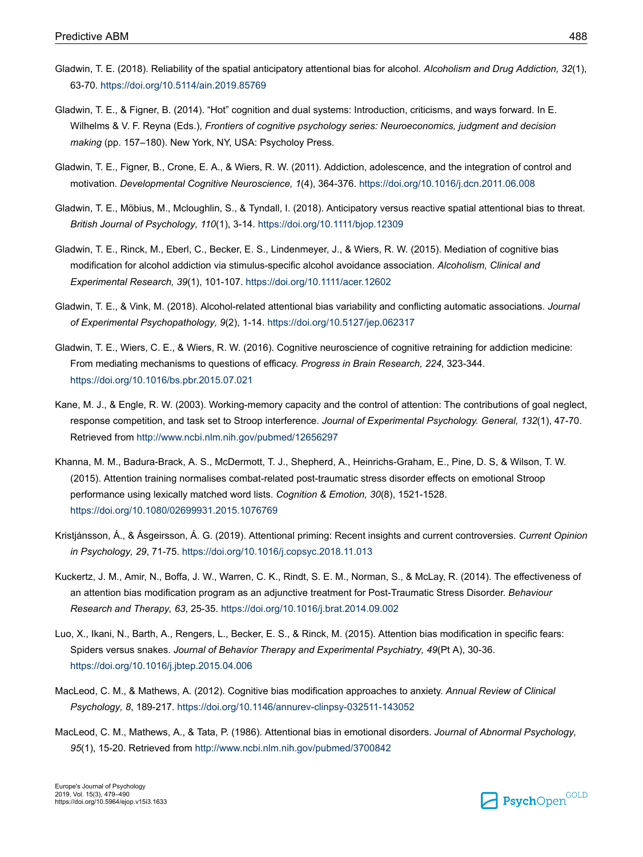- <span id="page-9-0"></span>Gladwin, T. E. (2018). Reliability of the spatial anticipatory attentional bias for alcohol. *Alcoholism and Drug Addiction, 32*(1), 63-70. [https://doi.org/10.5114/ain.2019.85769](https://doi.org/10.5114%2Fain.2019.85769)
- Gladwin, T. E., & Figner, B. (2014). "Hot" cognition and dual systems: Introduction, criticisms, and ways forward. In E. Wilhelms & V. F. Reyna (Eds.), *Frontiers of cognitive psychology series: Neuroeconomics, judgment and decision making* (pp. 157–180). New York, NY, USA: Psycholoy Press.
- Gladwin, T. E., Figner, B., Crone, E. A., & Wiers, R. W. (2011). Addiction, adolescence, and the integration of control and motivation. *Developmental Cognitive Neuroscience, 1*(4), 364-376. [https://doi.org/10.1016/j.dcn.2011.06.008](https://doi.org/10.1016%2Fj.dcn.2011.06.008)
- Gladwin, T. E., Möbius, M., Mcloughlin, S., & Tyndall, I. (2018). Anticipatory versus reactive spatial attentional bias to threat. *British Journal of Psychology, 110*(1), 3-14. [https://doi.org/10.1111/bjop.12309](https://doi.org/10.1111%2Fbjop.12309)
- Gladwin, T. E., Rinck, M., Eberl, C., Becker, E. S., Lindenmeyer, J., & Wiers, R. W. (2015). Mediation of cognitive bias modification for alcohol addiction via stimulus-specific alcohol avoidance association. *Alcoholism, Clinical and Experimental Research, 39*(1), 101-107. [https://doi.org/10.1111/acer.12602](https://doi.org/10.1111%2Facer.12602)
- Gladwin, T. E., & Vink, M. (2018). Alcohol-related attentional bias variability and conflicting automatic associations. *Journal of Experimental Psychopathology, 9*(2), 1-14. [https://doi.org/10.5127/jep.062317](https://doi.org/10.5127%2Fjep.062317)
- Gladwin, T. E., Wiers, C. E., & Wiers, R. W. (2016). Cognitive neuroscience of cognitive retraining for addiction medicine: From mediating mechanisms to questions of efficacy. *Progress in Brain Research, 224*, 323-344. [https://doi.org/10.1016/bs.pbr.2015.07.021](https://doi.org/10.1016%2Fbs.pbr.2015.07.021)
- Kane, M. J., & Engle, R. W. (2003). Working-memory capacity and the control of attention: The contributions of goal neglect, response competition, and task set to Stroop interference. *Journal of Experimental Psychology. General, 132*(1), 47-70. Retrieved from <http://www.ncbi.nlm.nih.gov/pubmed/12656297>
- Khanna, M. M., Badura-Brack, A. S., McDermott, T. J., Shepherd, A., Heinrichs-Graham, E., Pine, D. S, & Wilson, T. W. (2015). Attention training normalises combat-related post-traumatic stress disorder effects on emotional Stroop performance using lexically matched word lists. *Cognition & Emotion, 30*(8), 1521-1528. [https://doi.org/10.1080/02699931.2015.1076769](https://doi.org/10.1080%2F02699931.2015.1076769)
- Kristjánsson, Á., & Ásgeirsson, Á. G. (2019). Attentional priming: Recent insights and current controversies. *Current Opinion in Psychology, 29*, 71-75. [https://doi.org/10.1016/j.copsyc.2018.11.013](https://doi.org/10.1016%2Fj.copsyc.2018.11.013)
- Kuckertz, J. M., Amir, N., Boffa, J. W., Warren, C. K., Rindt, S. E. M., Norman, S., & McLay, R. (2014). The effectiveness of an attention bias modification program as an adjunctive treatment for Post-Traumatic Stress Disorder. *Behaviour Research and Therapy, 63*, 25-35. [https://doi.org/10.1016/j.brat.2014.09.002](https://doi.org/10.1016%2Fj.brat.2014.09.002)
- Luo, X., Ikani, N., Barth, A., Rengers, L., Becker, E. S., & Rinck, M. (2015). Attention bias modification in specific fears: Spiders versus snakes. *Journal of Behavior Therapy and Experimental Psychiatry, 49*(Pt A), 30-36. [https://doi.org/10.1016/j.jbtep.2015.04.006](https://doi.org/10.1016%2Fj.jbtep.2015.04.006)
- MacLeod, C. M., & Mathews, A. (2012). Cognitive bias modification approaches to anxiety. *Annual Review of Clinical Psychology, 8*, 189-217. [https://doi.org/10.1146/annurev-clinpsy-032511-143052](https://doi.org/10.1146%2Fannurev-clinpsy-032511-143052)
- MacLeod, C. M., Mathews, A., & Tata, P. (1986). Attentional bias in emotional disorders. *Journal of Abnormal Psychology, 95*(1), 15-20. Retrieved from <http://www.ncbi.nlm.nih.gov/pubmed/3700842>

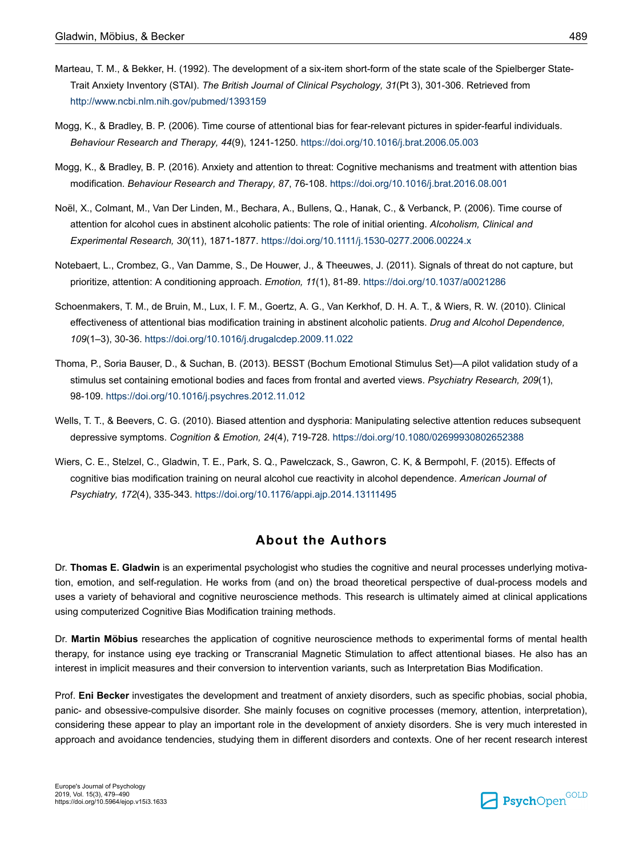- <span id="page-10-0"></span>Marteau, T. M., & Bekker, H. (1992). The development of a six-item short-form of the state scale of the Spielberger State-Trait Anxiety Inventory (STAI). *The British Journal of Clinical Psychology, 31*(Pt 3), 301-306. Retrieved from <http://www.ncbi.nlm.nih.gov/pubmed/1393159>
- Mogg, K., & Bradley, B. P. (2006). Time course of attentional bias for fear-relevant pictures in spider-fearful individuals. *Behaviour Research and Therapy, 44*(9), 1241-1250. [https://doi.org/10.1016/j.brat.2006.05.003](https://doi.org/10.1016%2Fj.brat.2006.05.003)
- Mogg, K., & Bradley, B. P. (2016). Anxiety and attention to threat: Cognitive mechanisms and treatment with attention bias modification. *Behaviour Research and Therapy, 87*, 76-108. [https://doi.org/10.1016/j.brat.2016.08.001](https://doi.org/10.1016%2Fj.brat.2016.08.001)
- Noël, X., Colmant, M., Van Der Linden, M., Bechara, A., Bullens, Q., Hanak, C., & Verbanck, P. (2006). Time course of attention for alcohol cues in abstinent alcoholic patients: The role of initial orienting. *Alcoholism, Clinical and Experimental Research, 30*(11), 1871-1877. [https://doi.org/10.1111/j.1530-0277.2006.00224.x](https://doi.org/10.1111%2Fj.1530-0277.2006.00224.x)
- Notebaert, L., Crombez, G., Van Damme, S., De Houwer, J., & Theeuwes, J. (2011). Signals of threat do not capture, but prioritize, attention: A conditioning approach. *Emotion, 11*(1), 81-89. [https://doi.org/10.1037/a0021286](https://doi.org/10.1037%2Fa0021286)
- Schoenmakers, T. M., de Bruin, M., Lux, I. F. M., Goertz, A. G., Van Kerkhof, D. H. A. T., & Wiers, R. W. (2010). Clinical effectiveness of attentional bias modification training in abstinent alcoholic patients. *Drug and Alcohol Dependence, 109*(1–3), 30-36. [https://doi.org/10.1016/j.drugalcdep.2009.11.022](https://doi.org/10.1016%2Fj.drugalcdep.2009.11.022)
- Thoma, P., Soria Bauser, D., & Suchan, B. (2013). BESST (Bochum Emotional Stimulus Set)—A pilot validation study of a stimulus set containing emotional bodies and faces from frontal and averted views. *Psychiatry Research, 209*(1), 98-109. [https://doi.org/10.1016/j.psychres.2012.11.012](https://doi.org/10.1016%2Fj.psychres.2012.11.012)
- Wells, T. T., & Beevers, C. G. (2010). Biased attention and dysphoria: Manipulating selective attention reduces subsequent depressive symptoms. *Cognition & Emotion, 24*(4), 719-728. [https://doi.org/10.1080/02699930802652388](https://doi.org/10.1080%2F02699930802652388)
- Wiers, C. E., Stelzel, C., Gladwin, T. E., Park, S. Q., Pawelczack, S., Gawron, C. K, & Bermpohl, F. (2015). Effects of cognitive bias modification training on neural alcohol cue reactivity in alcohol dependence. *American Journal of Psychiatry, 172*(4), 335-343. [https://doi.org/10.1176/appi.ajp.2014.13111495](https://doi.org/10.1176%2Fappi.ajp.2014.13111495)

### **About the Authors**

Dr. **Thomas E. Gladwin** is an experimental psychologist who studies the cognitive and neural processes underlying motivation, emotion, and self-regulation. He works from (and on) the broad theoretical perspective of dual-process models and uses a variety of behavioral and cognitive neuroscience methods. This research is ultimately aimed at clinical applications using computerized Cognitive Bias Modification training methods.

Dr. **Martin Möbius** researches the application of cognitive neuroscience methods to experimental forms of mental health therapy, for instance using eye tracking or Transcranial Magnetic Stimulation to affect attentional biases. He also has an interest in implicit measures and their conversion to intervention variants, such as Interpretation Bias Modification.

Prof. **Eni Becker** investigates the development and treatment of anxiety disorders, such as specific phobias, social phobia, panic- and obsessive-compulsive disorder. She mainly focuses on cognitive processes (memory, attention, interpretation), considering these appear to play an important role in the development of anxiety disorders. She is very much interested in approach and avoidance tendencies, studying them in different disorders and contexts. One of her recent research interest